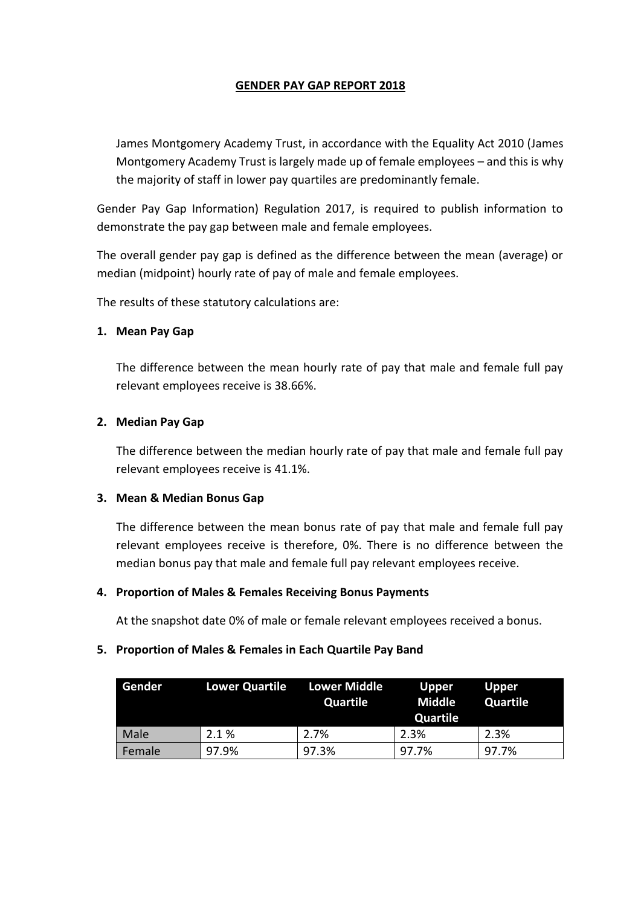# **GENDER PAY GAP REPORT 2018**

James Montgomery Academy Trust, in accordance with the Equality Act 2010 (James Montgomery Academy Trust is largely made up of female employees – and this is why the majority of staff in lower pay quartiles are predominantly female.

Gender Pay Gap Information) Regulation 2017, is required to publish information to demonstrate the pay gap between male and female employees.

The overall gender pay gap is defined as the difference between the mean (average) or median (midpoint) hourly rate of pay of male and female employees.

The results of these statutory calculations are:

#### **1. Mean Pay Gap**

The difference between the mean hourly rate of pay that male and female full pay relevant employees receive is 38.66%.

# **2. Median Pay Gap**

The difference between the median hourly rate of pay that male and female full pay relevant employees receive is 41.1%.

#### **3. Mean & Median Bonus Gap**

The difference between the mean bonus rate of pay that male and female full pay relevant employees receive is therefore, 0%. There is no difference between the median bonus pay that male and female full pay relevant employees receive.

# **4. Proportion of Males & Females Receiving Bonus Payments**

At the snapshot date 0% of male or female relevant employees received a bonus.

# **5. Proportion of Males & Females in Each Quartile Pay Band**

| Gender | <b>Lower Quartile</b> | <b>Lower Middle</b><br>Quartile | <b>Upper</b><br><b>Middle</b><br>Quartile | <b>Upper</b><br>Quartile |
|--------|-----------------------|---------------------------------|-------------------------------------------|--------------------------|
| Male   | 2.1 %                 | 2.7%                            | 2.3%                                      | 2.3%                     |
| Female | 97.9%                 | 97.3%                           | 97.7%                                     | 97.7%                    |